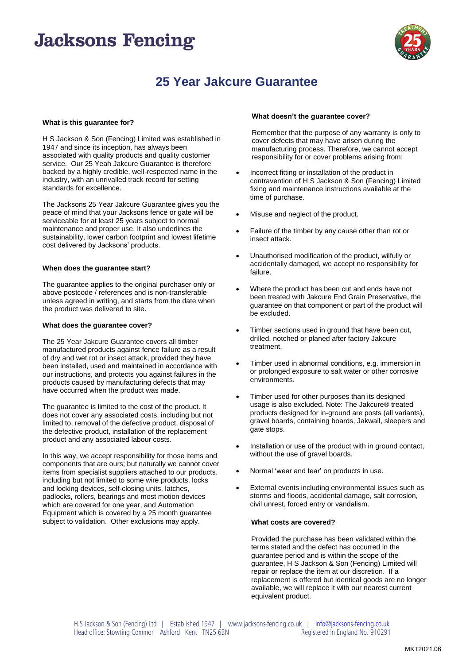## **Jacksons Fencing**



### **25 Year Jakcure Guarantee**

#### **What is this guarantee for?**

H S Jackson & Son (Fencing) Limited was established in 1947 and since its inception, has always been associated with quality products and quality customer service. Our 25 Yeah Jakcure Guarantee is therefore backed by a highly credible, well-respected name in the industry, with an unrivalled track record for setting standards for excellence.

The Jacksons 25 Year Jakcure Guarantee gives you the peace of mind that your Jacksons fence or gate will be serviceable for at least 25 years subject to normal maintenance and proper use. It also underlines the sustainability, lower carbon footprint and lowest lifetime cost delivered by Jacksons' products.

#### **When does the guarantee start?**

The guarantee applies to the original purchaser only or above postcode / references and is non-transferable unless agreed in writing, and starts from the date when the product was delivered to site.

#### **What does the guarantee cover?**

The 25 Year Jakcure Guarantee covers all timber manufactured products against fence failure as a result of dry and wet rot or insect attack, provided they have been installed, used and maintained in accordance with our instructions, and protects you against failures in the products caused by manufacturing defects that may have occurred when the product was made.

The guarantee is limited to the cost of the product. It does not cover any associated costs, including but not limited to, removal of the defective product, disposal of the defective product, installation of the replacement product and any associated labour costs.

In this way, we accept responsibility for those items and components that are ours; but naturally we cannot cover items from specialist suppliers attached to our products. including but not limited to some wire products, locks and locking devices, self-closing units, latches, padlocks, rollers, bearings and most motion devices which are covered for one year, and Automation Equipment which is covered by a 25 month guarantee subject to validation. Other exclusions may apply.

#### **What doesn't the guarantee cover?**

Remember that the purpose of any warranty is only to cover defects that may have arisen during the manufacturing process. Therefore, we cannot accept responsibility for or cover problems arising from:

- Incorrect fitting or installation of the product in contravention of H S Jackson & Son (Fencing) Limited fixing and maintenance instructions available at the time of purchase.
- Misuse and neglect of the product.
- Failure of the timber by any cause other than rot or insect attack.
- Unauthorised modification of the product, wilfully or accidentally damaged, we accept no responsibility for failure.
- Where the product has been cut and ends have not been treated with Jakcure End Grain Preservative, the guarantee on that component or part of the product will be excluded.
- Timber sections used in ground that have been cut, drilled, notched or planed after factory Jakcure treatment.
- Timber used in abnormal conditions, e.g. immersion in or prolonged exposure to salt water or other corrosive environments.
- Timber used for other purposes than its designed usage is also excluded. Note: The Jakcure® treated products designed for in-ground are posts (all variants), gravel boards, containing boards, Jakwall, sleepers and gate stops.
- Installation or use of the product with in ground contact, without the use of gravel boards.
- Normal 'wear and tear' on products in use.
- External events including environmental issues such as storms and floods, accidental damage, salt corrosion, civil unrest, forced entry or vandalism.

#### **What costs are covered?**

Provided the purchase has been validated within the terms stated and the defect has occurred in the guarantee period and is within the scope of the guarantee, H S Jackson & Son (Fencing) Limited will repair or replace the item at our discretion. If a replacement is offered but identical goods are no longer available, we will replace it with our nearest current equivalent product.